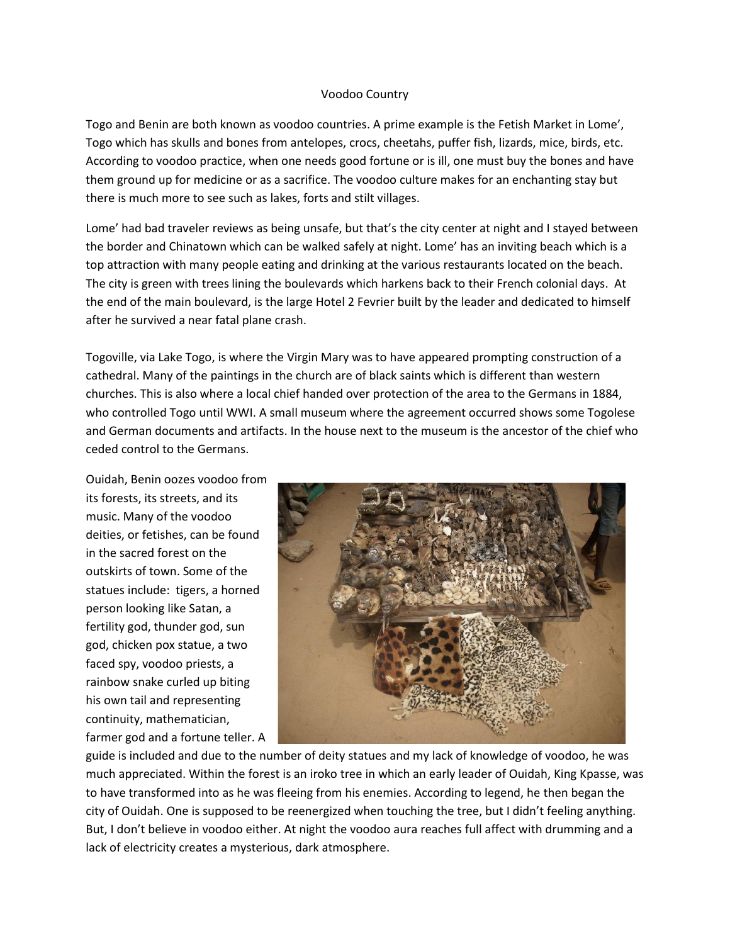## Voodoo Country

Togo and Benin are both known as voodoo countries. A prime example is the Fetish Market in Lome', Togo which has skulls and bones from antelopes, crocs, cheetahs, puffer fish, lizards, mice, birds, etc. According to voodoo practice, when one needs good fortune or is ill, one must buy the bones and have them ground up for medicine or as a sacrifice. The voodoo culture makes for an enchanting stay but there is much more to see such as lakes, forts and stilt villages.

Lome' had bad traveler reviews as being unsafe, but that's the city center at night and I stayed between the border and Chinatown which can be walked safely at night. Lome' has an inviting beach which is a top attraction with many people eating and drinking at the various restaurants located on the beach. The city is green with trees lining the boulevards which harkens back to their French colonial days. At the end of the main boulevard, is the large Hotel 2 Fevrier built by the leader and dedicated to himself after he survived a near fatal plane crash.

Togoville, via Lake Togo, is where the Virgin Mary was to have appeared prompting construction of a cathedral. Many of the paintings in the church are of black saints which is different than western churches. This is also where a local chief handed over protection of the area to the Germans in 1884, who controlled Togo until WWI. A small museum where the agreement occurred shows some Togolese and German documents and artifacts. In the house next to the museum is the ancestor of the chief who ceded control to the Germans.

Ouidah, Benin oozes voodoo from its forests, its streets, and its music. Many of the voodoo deities, or fetishes, can be found in the sacred forest on the outskirts of town. Some of the statues include: tigers, a horned person looking like Satan, a fertility god, thunder god, sun god, chicken pox statue, a two faced spy, voodoo priests, a rainbow snake curled up biting his own tail and representing continuity, mathematician, farmer god and a fortune teller. A



guide is included and due to the number of deity statues and my lack of knowledge of voodoo, he was much appreciated. Within the forest is an iroko tree in which an early leader of Ouidah, King Kpasse, was to have transformed into as he was fleeing from his enemies. According to legend, he then began the city of Ouidah. One is supposed to be reenergized when touching the tree, but I didn't feeling anything. But, I don't believe in voodoo either. At night the voodoo aura reaches full affect with drumming and a lack of electricity creates a mysterious, dark atmosphere.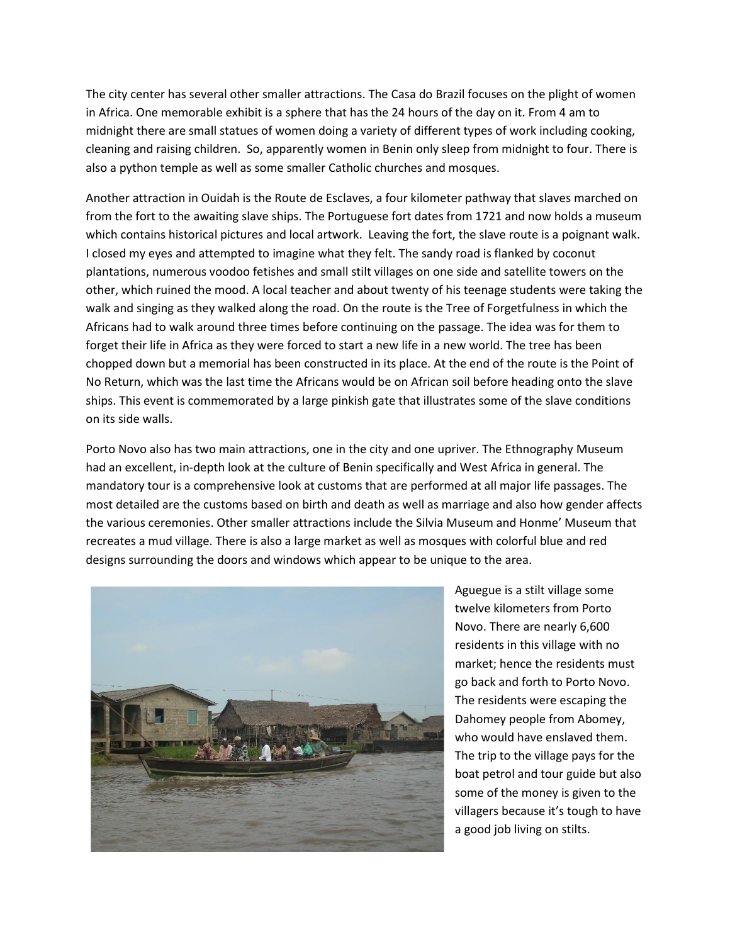The city center has several other smaller attractions. The Casa do Brazil focuses on the plight of women in Africa. One memorable exhibit is a sphere that has the 24 hours of the day on it. From 4 am to midnight there are small statues of women doing a variety of different types of work including cooking, cleaning and raising children. So, apparently women in Benin only sleep from midnight to four. There is also a python temple as well as some smaller Catholic churches and mosques.

Another attraction in Ouidah is the Route de Esclaves, a four kilometer pathway that slaves marched on from the fort to the awaiting slave ships. The Portuguese fort dates from 1721 and now holds a museum which contains historical pictures and local artwork. Leaving the fort, the slave route is a poignant walk. I closed my eyes and attempted to imagine what they felt. The sandy road is flanked by coconut plantations, numerous voodoo fetishes and small stilt villages on one side and satellite towers on the other, which ruined the mood. A local teacher and about twenty of his teenage students were taking the walk and singing as they walked along the road. On the route is the Tree of Forgetfulness in which the Africans had to walk around three times before continuing on the passage. The idea was for them to forget their life in Africa as they were forced to start a new life in a new world. The tree has been chopped down but a memorial has been constructed in its place. At the end of the route is the Point of No Return, which was the last time the Africans would be on African soil before heading onto the slave ships. This event is commemorated by a large pinkish gate that illustrates some of the slave conditions on its side walls.

Porto Novo also has two main attractions, one in the city and one upriver. The Ethnography Museum had an excellent, in-depth look at the culture of Benin specifically and West Africa in general. The mandatory tour is a comprehensive look at customs that are performed at all major life passages. The most detailed are the customs based on birth and death as well as marriage and also how gender affects the various ceremonies. Other smaller attractions include the Silvia Museum and Honme' Museum that recreates a mud village. There is also a large market as well as mosques with colorful blue and red designs surrounding the doors and windows which appear to be unique to the area.



Aguegue is a stilt village some twelve kilometers from Porto Novo. There are nearly 6,600 residents in this village with no market; hence the residents must go back and forth to Porto Novo. The residents were escaping the Dahomey people from Abomey, who would have enslaved them. The trip to the village pays for the boat petrol and tour guide but also some of the money is given to the villagers because it's tough to have a good job living on stilts.